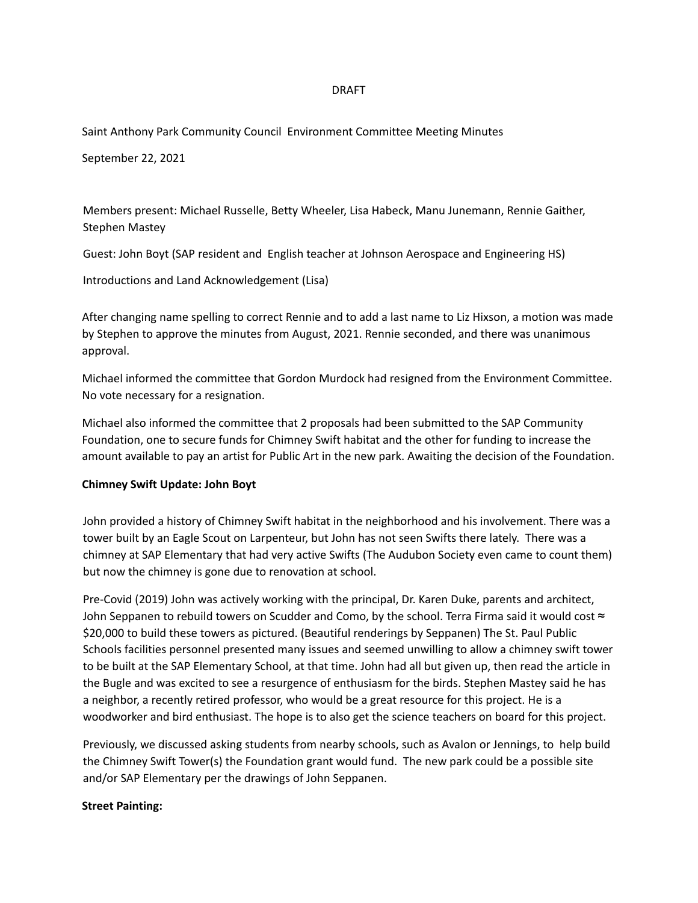### DRAFT

Saint Anthony Park Community Council Environment Committee Meeting Minutes

September 22, 2021

Members present: Michael Russelle, Betty Wheeler, Lisa Habeck, Manu Junemann, Rennie Gaither, Stephen Mastey

Guest: John Boyt (SAP resident and English teacher at Johnson Aerospace and Engineering HS)

Introductions and Land Acknowledgement (Lisa)

After changing name spelling to correct Rennie and to add a last name to Liz Hixson, a motion was made by Stephen to approve the minutes from August, 2021. Rennie seconded, and there was unanimous approval.

Michael informed the committee that Gordon Murdock had resigned from the Environment Committee. No vote necessary for a resignation.

Michael also informed the committee that 2 proposals had been submitted to the SAP Community Foundation, one to secure funds for Chimney Swift habitat and the other for funding to increase the amount available to pay an artist for Public Art in the new park. Awaiting the decision of the Foundation.

#### **Chimney Swift Update: John Boyt**

John provided a history of Chimney Swift habitat in the neighborhood and his involvement. There was a tower built by an Eagle Scout on Larpenteur, but John has not seen Swifts there lately. There was a chimney at SAP Elementary that had very active Swifts (The Audubon Society even came to count them) but now the chimney is gone due to renovation at school.

Pre-Covid (2019) John was actively working with the principal, Dr. Karen Duke, parents and architect, John Seppanen to rebuild towers on Scudder and Como, by the school. Terra Firma said it would cost  $\approx$ \$20,000 to build these towers as pictured. (Beautiful renderings by Seppanen) The St. Paul Public Schools facilities personnel presented many issues and seemed unwilling to allow a chimney swift tower to be built at the SAP Elementary School, at that time. John had all but given up, then read the article in the Bugle and was excited to see a resurgence of enthusiasm for the birds. Stephen Mastey said he has a neighbor, a recently retired professor, who would be a great resource for this project. He is a woodworker and bird enthusiast. The hope is to also get the science teachers on board for this project.

Previously, we discussed asking students from nearby schools, such as Avalon or Jennings, to help build the Chimney Swift Tower(s) the Foundation grant would fund. The new park could be a possible site and/or SAP Elementary per the drawings of John Seppanen.

#### **Street Painting:**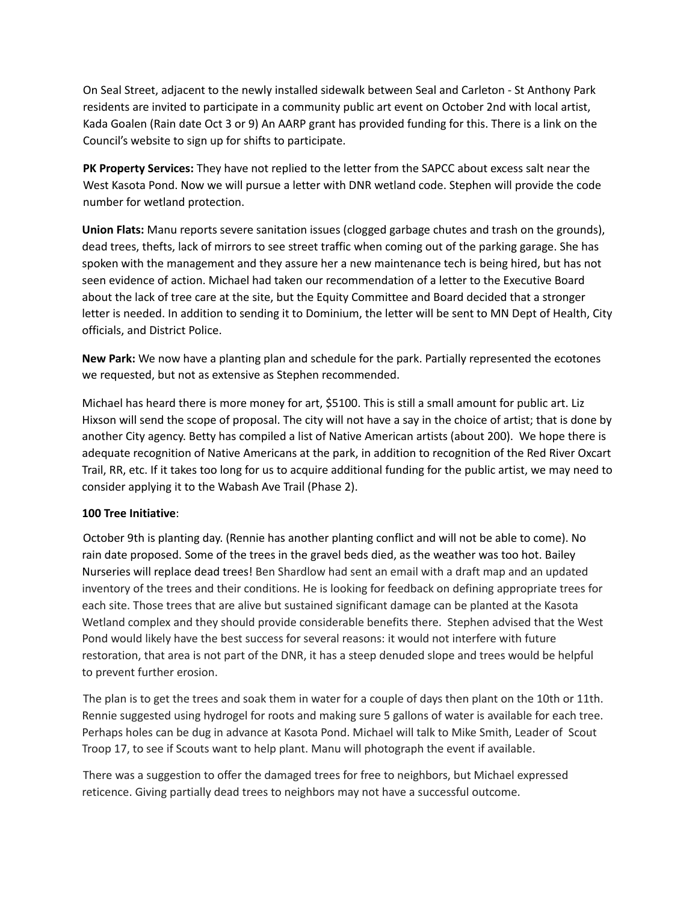On Seal Street, adjacent to the newly installed sidewalk between Seal and Carleton - St Anthony Park residents are invited to participate in a community public art event on October 2nd with local artist, Kada Goalen (Rain date Oct 3 or 9) An AARP grant has provided funding for this. There is a link on the Council's website to sign up for shifts to participate.

**PK Property Services:** They have not replied to the letter from the SAPCC about excess salt near the West Kasota Pond. Now we will pursue a letter with DNR wetland code. Stephen will provide the code number for wetland protection.

**Union Flats:** Manu reports severe sanitation issues (clogged garbage chutes and trash on the grounds), dead trees, thefts, lack of mirrors to see street traffic when coming out of the parking garage. She has spoken with the management and they assure her a new maintenance tech is being hired, but has not seen evidence of action. Michael had taken our recommendation of a letter to the Executive Board about the lack of tree care at the site, but the Equity Committee and Board decided that a stronger letter is needed. In addition to sending it to Dominium, the letter will be sent to MN Dept of Health, City officials, and District Police.

**New Park:** We now have a planting plan and schedule for the park. Partially represented the ecotones we requested, but not as extensive as Stephen recommended.

Michael has heard there is more money for art, \$5100. This is still a small amount for public art. Liz Hixson will send the scope of proposal. The city will not have a say in the choice of artist; that is done by another City agency. Betty has compiled a list of Native American artists (about 200). We hope there is adequate recognition of Native Americans at the park, in addition to recognition of the Red River Oxcart Trail, RR, etc. If it takes too long for us to acquire additional funding for the public artist, we may need to consider applying it to the Wabash Ave Trail (Phase 2).

# **100 Tree Initiative**:

October 9th is planting day. (Rennie has another planting conflict and will not be able to come). No rain date proposed. Some of the trees in the gravel beds died, as the weather was too hot. Bailey Nurseries will replace dead trees! Ben Shardlow had sent an email with a draft map and an updated inventory of the trees and their conditions. He is looking for feedback on defining appropriate trees for each site. Those trees that are alive but sustained significant damage can be planted at the Kasota Wetland complex and they should provide considerable benefits there. Stephen advised that the West Pond would likely have the best success for several reasons: it would not interfere with future restoration, that area is not part of the DNR, it has a steep denuded slope and trees would be helpful to prevent further erosion.

The plan is to get the trees and soak them in water for a couple of days then plant on the 10th or 11th. Rennie suggested using hydrogel for roots and making sure 5 gallons of water is available for each tree. Perhaps holes can be dug in advance at Kasota Pond. Michael will talk to Mike Smith, Leader of Scout Troop 17, to see if Scouts want to help plant. Manu will photograph the event if available.

There was a suggestion to offer the damaged trees for free to neighbors, but Michael expressed reticence. Giving partially dead trees to neighbors may not have a successful outcome.